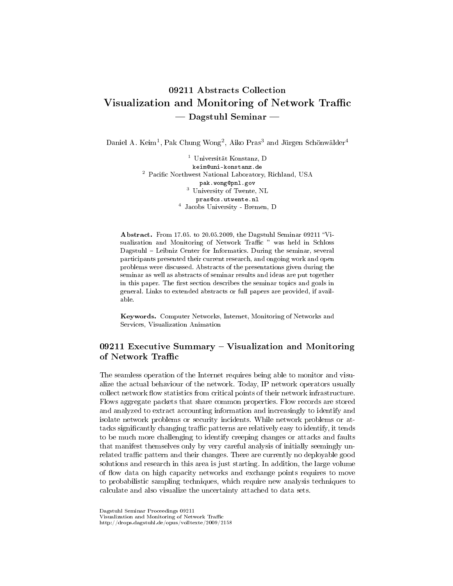# 09211 Abstracts Collection Visualization and Monitoring of Network Traffic Dagstuhl Seminar

Daniel A. Keim<sup>1</sup>, Pak Chung Wong<sup>2</sup>, Aiko Pras<sup>3</sup> and Jürgen Schönwälder<sup>4</sup>

<sup>1</sup> Universität Konstanz, D keim@uni-konstanz.de <sup>2</sup> Pacific Northwest National Laboratory, Richland, USA pak.wong@pnl.gov pak.wongspn.com<br>
<sup>3</sup> University of Twente, NL pras@cs.utwente.nl 4 Jacobs University - Bremen, D

Abstract. From 17.05. to 20.05.2009, the Dagstuhl Seminar 09211 "Visualization and Monitoring of Network Traffic " was held in Schloss Dagstuhl - Leibniz Center for Informatics. During the seminar, several participants presented their current research, and ongoing work and open problems were discussed. Abstracts of the presentations given during the seminar as well as abstracts of seminar results and ideas are put together in this paper. The first section describes the seminar topics and goals in general. Links to extended abstracts or full papers are provided, if available.

Keywords. Computer Networks, Internet, Monitoring of Networks and Services, Visualization Animation

# 09211 Executive Summary  $-$  Visualization and Monitoring of Network Traffic

The seamless operation of the Internet requires being able to monitor and visualize the actual behaviour of the network. Today, IP network operators usually collect network flow statistics from critical points of their network infrastructure. Flows aggregate packets that share common properties. Flow records are stored and analyzed to extract accounting information and increasingly to identify and isolate network problems or security incidents. While network problems or attacks significantly changing traffic patterns are relatively easy to identify, it tends to be much more challenging to identify creeping changes or attacks and faults that manifest themselves only by very careful analysis of initially seemingly unrelated traffic pattern and their changes. There are currently no deployable good solutions and research in this area is just starting. In addition, the large volume of flow data on high capacity networks and exchange points requires to move to probabilistic sampling techniques, which require new analysis techniques to calculate and also visualize the uncertainty attached to data sets.

Dagstuhl Seminar Proceedings 09211 Visualization and Monitoring of Network Traffic http://drops.dagstuhl.de/opus/volltexte/2009/2158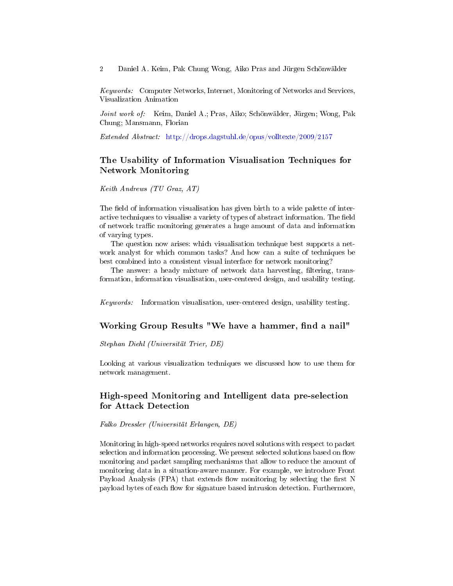Keywords: Computer Networks, Internet, Monitoring of Networks and Services, Visualization Animation

Joint work of: Keim, Daniel A.; Pras, Aiko; Schönwälder, Jürgen; Wong, Pak Chung; Mansmann, Florian

Extended Abstract: <http://drops.dagstuhl.de/opus/volltexte/2009/2157>

# The Usability of Information Visualisation Techniques for Network Monitoring

Keith Andrews (TU Graz, AT)

The field of information visualisation has given birth to a wide palette of interactive techniques to visualise a variety of types of abstract information. The field of network traffic monitoring generates a huge amount of data and information of varying types.

The question now arises: which visualisation technique best supports a network analyst for which common tasks? And how can a suite of techniques be best combined into a consistent visual interface for network monitoring?

The answer: a heady mixture of network data harvesting, filtering, transformation, information visualisation, user-centered design, and usability testing.

Keywords: Information visualisation, user-centered design, usability testing.

# Working Group Results "We have a hammer, find a nail"

Stephan Diehl (Universität Trier, DE)

Looking at various visualization techniques we discussed how to use them for network management.

# High-speed Monitoring and Intelligent data pre-selection for Attack Detection

Falko Dressler (Universität Erlangen, DE)

Monitoring in high-speed networks requires novel solutions with respect to packet selection and information processing. We present selected solutions based on flow monitoring and packet sampling mechanisms that allow to reduce the amount of monitoring data in a situation-aware manner. For example, we introduce Front Payload Analysis (FPA) that extends flow monitoring by selecting the first N payload bytes of each flow for signature based intrusion detection. Furthermore,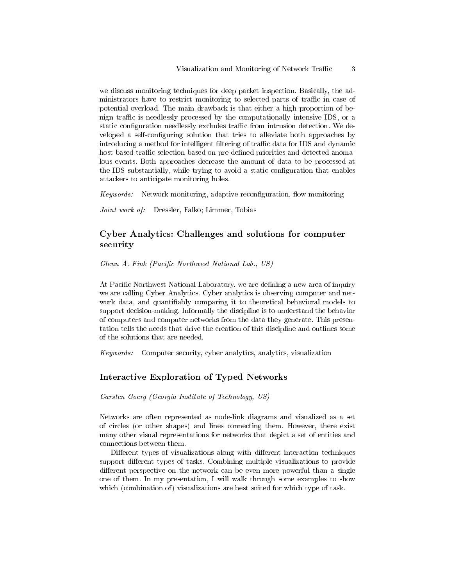we discuss monitoring techniques for deep packet inspection. Basically, the administrators have to restrict monitoring to selected parts of traffic in case of potential overload. The main drawback is that either a high proportion of benign traffic is needlessly processed by the computationally intensive IDS, or a static configuration needlessly excludes traffic from intrusion detection. We developed a self-configuring solution that tries to alleviate both approaches by introducing a method for intelligent filtering of traffic data for IDS and dynamic host-based traffic selection based on pre-defined priorities and detected anomalous events. Both approaches decrease the amount of data to be processed at the IDS substantially, while trying to avoid a static configuration that enables attackers to anticipate monitoring holes.

Keywords: Network monitoring, adaptive reconfiguration, flow monitoring

Joint work of: Dressler, Falko; Limmer, Tobias

# Cyber Analytics: Challenges and solutions for computer security

Glenn A. Fink (Pacific Northwest National Lab., US)

At Pacific Northwest National Laboratory, we are defining a new area of inquiry we are calling Cyber Analytics. Cyber analytics is observing computer and network data, and quantifiably comparing it to theoretical behavioral models to support decision-making. Informally the discipline is to understand the behavior of computers and computer networks from the data they generate. This presentation tells the needs that drive the creation of this discipline and outlines some of the solutions that are needed.

Keywords: Computer security, cyber analytics, analytics, visualization

## Interactive Exploration of Typed Networks

Carsten Goerg (Georgia Institute of Technology, US)

Networks are often represented as node-link diagrams and visualized as a set of circles (or other shapes) and lines connecting them. However, there exist many other visual representations for networks that depict a set of entities and connections between them.

Different types of visualizations along with different interaction techniques support different types of tasks. Combining multiple visualizations to provide different perspective on the network can be even more powerful than a single one of them. In my presentation, I will walk through some examples to show which (combination of) visualizations are best suited for which type of task.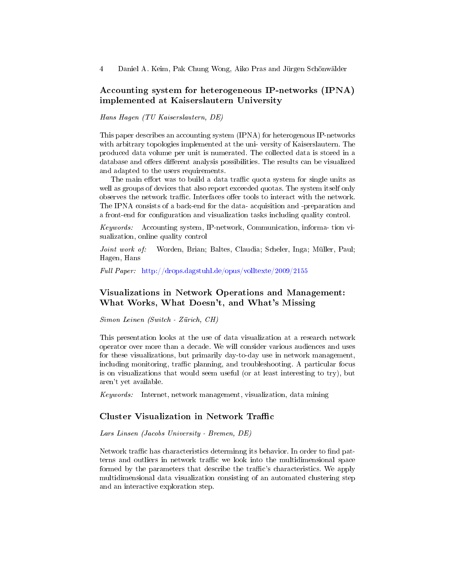# Accounting system for heterogeneous IP-networks (IPNA) implemented at Kaiserslautern University

Hans Hagen (TU Kaiserslautern, DE)

This paper describes an accounting system (IPNA) for heterogenous IP-networks with arbitrary topologies implemented at the uni- versity of Kaiserslautern. The produced data volume per unit is numerated. The collected data is stored in a database and offers different analysis possibilities. The results can be visualized and adapted to the users requirements.

The main effort was to build a data traffic quota system for single units as well as groups of devices that also report exceeded quotas. The system itself only observes the network traffic. Interfaces offer tools to interact with the network. The IPNA consists of a back-end for the data- acquisition and -preparation and a front-end for configuration and visualization tasks including quality control.

Keywords: Accounting system, IP-network, Communication, informa- tion visualization, online quality control

Joint work of: Worden, Brian; Baltes, Claudia; Scheler, Inga; Müller, Paul; Hagen, Hans

Full Paper: <http://drops.dagstuhl.de/opus/volltexte/2009/2155>

# Visualizations in Network Operations and Management: What Works, What Doesn't, and What's Missing

Simon Leinen (Switch - Zürich, CH)

This presentation looks at the use of data visualization at a research network operator over more than a decade. We will consider various audiences and uses for these visualizations, but primarily day-to-day use in network management, including monitoring, traffic planning, and troubleshooting. A particular focus is on visualizations that would seem useful (or at least interesting to try), but aren't yet available.

Keywords: Internet, network management, visualization, data mining

## Cluster Visualization in Network Traffic

Lars Linsen (Jacobs University - Bremen, DE)

Network traffic has characteristics determinng its behavior. In order to find patterns and outliers in network traffic we look into the multidimensional space formed by the parameters that describe the traffic's characteristics. We apply multidimensional data visualization consisting of an automated clustering step and an interactive exploration step.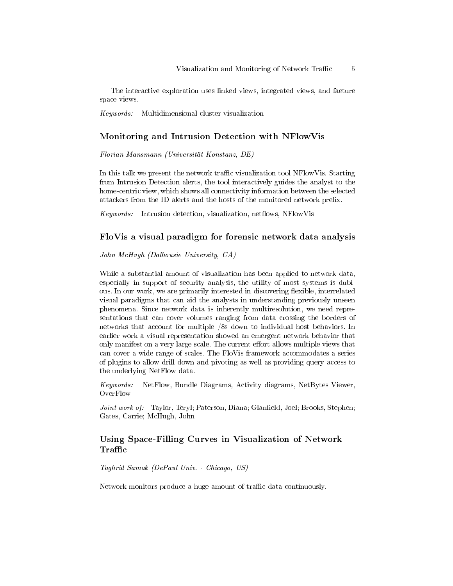The interactive exploration uses linked views, integrated views, and faeture space views.

Keywords: Multidimensional cluster visualization

#### Monitoring and Intrusion Detection with NFlowVis

Florian Mansmann (Universität Konstanz, DE)

In this talk we present the network traffic visualization tool NFlowVis. Starting from Intrusion Detection alerts, the tool interactively guides the analyst to the home-centric view, which shows all connectivity information between the selected attackers from the ID alerts and the hosts of the monitored network prefix.

 $Keywords:$  Intrusion detection, visualization, netflows, NFlowVis

## FloVis a visual paradigm for forensic network data analysis

John McHugh (Dalhousie University, CA)

While a substantial amount of visualization has been applied to network data, especially in support of security analysis, the utility of most systems is dubious. In our work, we are primarily interested in discovering flexible, interrelated visual paradigms that can aid the analysts in understanding previously unseen phenomena. Since network data is inherently multiresolution, we need representations that can cover volumes ranging from data crossing the borders of networks that account for multiple /8s down to individual host behaviors. In earlier work a visual representation showed an emergent network behavior that only manifest on a very large scale. The current effort allows multiple views that can cover a wide range of scales. The FloVis framework accommodates a series of plugins to allow drill down and pivoting as well as providing query access to the underlying NetFlow data.

Keywords: NetFlow, Bundle Diagrams, Activity diagrams, NetBytes Viewer, OverFlow

Joint work of: Taylor, Teryl; Paterson, Diana; Glanfield, Joel; Brooks, Stephen; Gates, Carrie; McHugh, John

# Using Space-Filling Curves in Visualization of Network Traffic  $\,$

Taghrid Samak (DePaul Univ. - Chicago, US)

Network monitors produce a huge amount of traffic data continuously.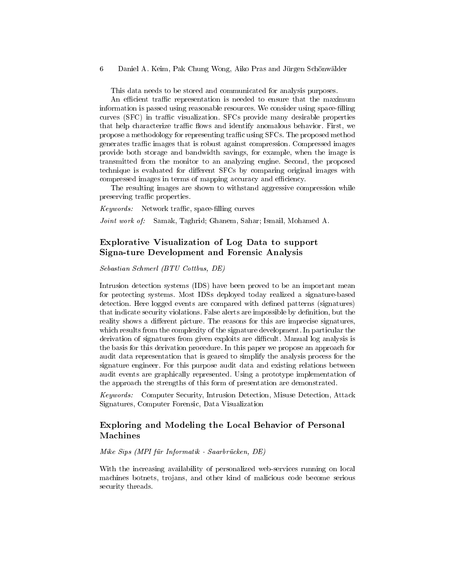This data needs to be stored and communicated for analysis purposes.

An efficient traffic representation is needed to ensure that the maximum information is passed using reasonable resources. We consider using space-filling curves (SFC) in traffic visualization. SFCs provide many desirable properties that help characterize traffic flows and identify anomalous behavior. First, we propose a methodology for representing traffic using SFCs. The proposed method generates traffic images that is robust against compression. Compressed images provide both storage and bandwidth savings, for example, when the image is transmitted from the monitor to an analyzing engine. Second, the proposed technique is evaluated for different SFCs by comparing original images with compressed images in terms of mapping accuracy and efficiency.

The resulting images are shown to withstand aggressive compression while preserving traffic properties.

 $Keywords:$  Network traffic, space-filling curves

Joint work of: Samak, Taghrid; Ghanem, Sahar; Ismail, Mohamed A.

# Explorative Visualization of Log Data to support Signa-ture Development and Forensic Analysis

Sebastian Schmerl (BTU Cottbus, DE)

Intrusion detection systems (IDS) have been proved to be an important mean for protecting systems. Most IDSs deployed today realized a signature-based detection. Here logged events are compared with defined patterns (signatures) that indicate security violations. False alerts are impossible by definition, but the reality shows a different picture. The reasons for this are imprecise signatures, which results from the complexity of the signature development. In particular the derivation of signatures from given exploits are difficult. Manual log analysis is the basis for this derivation procedure. In this paper we propose an approach for audit data representation that is geared to simplify the analysis process for the signature engineer. For this purpose audit data and existing relations between audit events are graphically represented. Using a prototype implementation of the approach the strengths of this form of presentation are demonstrated.

Keywords: Computer Security, Intrusion Detection, Misuse Detection, Attack Signatures, Computer Forensic, Data Visualization

# Exploring and Modeling the Local Behavior of Personal Machines

#### Mike Sips (MPI für Informatik - Saarbrücken, DE)

With the increasing availability of personalized web-services running on local machines botnets, trojans, and other kind of malicious code become serious security threads.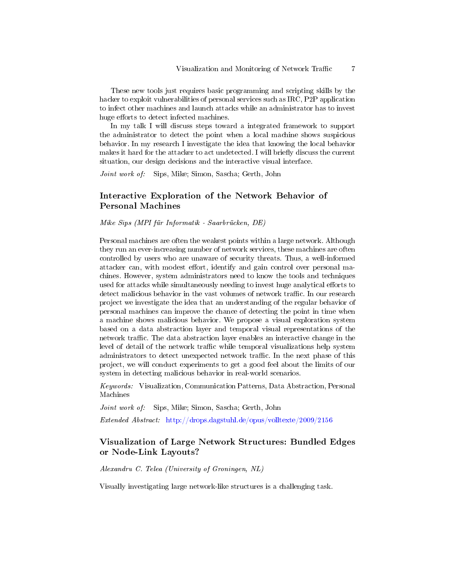These new tools just requires basic programming and scripting skills by the hacker to exploit vulnerabilities of personal services such as IRC, P2P application to infect other machines and launch attacks while an administrator has to invest huge efforts to detect infected machines.

In my talk I will discuss steps toward a integrated framework to support the administrator to detect the point when a local machine shows suspicious behavior. In my research I investigate the idea that knowing the local behavior makes it hard for the attacker to act undetected. I will briefly discuss the current situation, our design decisions and the interactive visual interface.

Joint work of: Sips, Mike; Simon, Sascha; Gerth, John

# Interactive Exploration of the Network Behavior of Personal Machines

Mike Sips (MPI für Informatik - Saarbrücken, DE)

Personal machines are often the weakest points within a large network. Although they run an ever-increasing number of network services, these machines are often controlled by users who are unaware of security threats. Thus, a well-informed attacker can, with modest effort, identify and gain control over personal machines. However, system administrators need to know the tools and techniques used for attacks while simultaneously needing to invest huge analytical efforts to detect malicious behavior in the vast volumes of network traffic. In our research project we investigate the idea that an understanding of the regular behavior of personal machines can improve the chance of detecting the point in time when a machine shows malicious behavior. We propose a visual exploration system based on a data abstraction layer and temporal visual representations of the network traffic. The data abstraction layer enables an interactive change in the level of detail of the network traffic while temporal visualizations help system administrators to detect unexpected network traffic. In the next phase of this project, we will conduct experiments to get a good feel about the limits of our system in detecting malicious behavior in real-world scenarios.

Keywords: Visualization, Communication Patterns, Data Abstraction, Personal Machines

Joint work of: Sips, Mike; Simon, Sascha; Gerth, John

Extended Abstract: <http://drops.dagstuhl.de/opus/volltexte/2009/2156>

# Visualization of Large Network Structures: Bundled Edges or Node-Link Layouts?

Alexandru C. Telea (University of Groningen, NL)

Visually investigating large network-like structures is a challenging task.